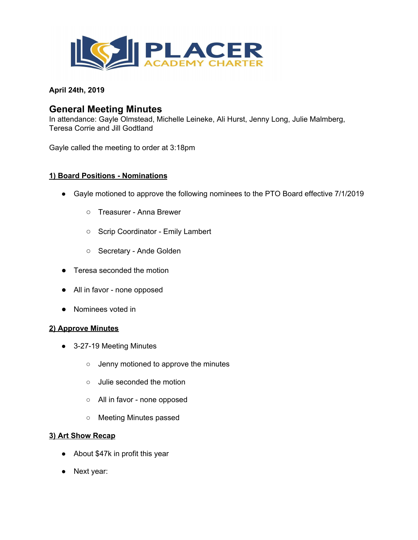

**April 24th, 2019**

# **General Meeting Minutes**

In attendance: Gayle Olmstead, Michelle Leineke, Ali Hurst, Jenny Long, Julie Malmberg, Teresa Corrie and Jill Godtland

Gayle called the meeting to order at 3:18pm

## **1) Board Positions - Nominations**

- Gayle motioned to approve the following nominees to the PTO Board effective 7/1/2019
	- Treasurer Anna Brewer
	- Scrip Coordinator Emily Lambert
	- Secretary Ande Golden
- Teresa seconded the motion
- All in favor none opposed
- Nominees voted in

#### **2) Approve Minutes**

- 3-27-19 Meeting Minutes
	- Jenny motioned to approve the minutes
	- Julie seconded the motion
	- All in favor none opposed
	- Meeting Minutes passed

#### **3) Art Show Recap**

- About \$47k in profit this year
- Next year: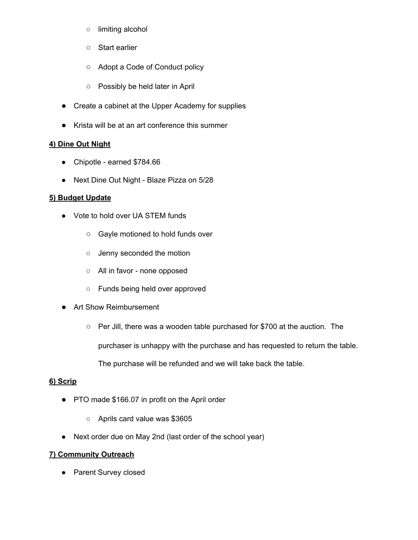- limiting alcohol
- Start earlier
- Adopt a Code of Conduct policy
- Possibly be held later in April
- Create a cabinet at the Upper Academy for supplies
- Krista will be at an art conference this summer

## **4) Dine Out Night**

- Chipotle earned \$784.66
- Next Dine Out Night Blaze Pizza on 5/28

#### **5) Budget Update**

- Vote to hold over UA STEM funds
	- Gayle motioned to hold funds over
	- Jenny seconded the motion
	- All in favor none opposed
	- Funds being held over approved
- Art Show Reimbursement
	- Per Jill, there was a wooden table purchased for \$700 at the auction. The

purchaser is unhappy with the purchase and has requested to return the table.

The purchase will be refunded and we will take back the table.

## **6) Scrip**

- PTO made \$166.07 in profit on the April order
	- Aprils card value was \$3605
- Next order due on May 2nd (last order of the school year)

## **7) Community Outreach**

• Parent Survey closed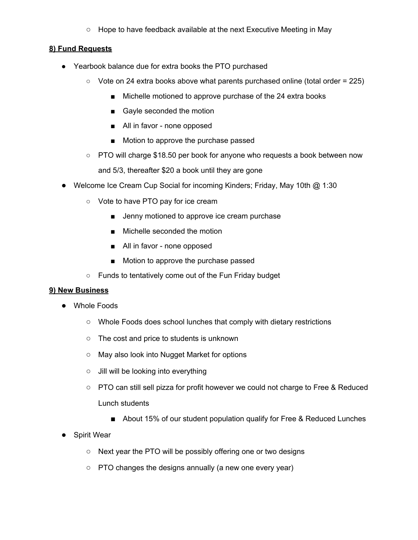○ Hope to have feedback available at the next Executive Meeting in May

#### **8) Fund Requests**

- Yearbook balance due for extra books the PTO purchased
	- $\circ$  Vote on 24 extra books above what parents purchased online (total order = 225)
		- Michelle motioned to approve purchase of the 24 extra books
		- Gayle seconded the motion
		- All in favor none opposed
		- Motion to approve the purchase passed
	- PTO will charge \$18.50 per book for anyone who requests a book between now and 5/3, thereafter \$20 a book until they are gone
- Welcome Ice Cream Cup Social for incoming Kinders; Friday, May 10th @ 1:30
	- Vote to have PTO pay for ice cream
		- Jenny motioned to approve ice cream purchase
		- Michelle seconded the motion
		- All in favor none opposed
		- Motion to approve the purchase passed
	- Funds to tentatively come out of the Fun Friday budget

#### **9) New Business**

- Whole Foods
	- Whole Foods does school lunches that comply with dietary restrictions
	- The cost and price to students is unknown
	- May also look into Nugget Market for options
	- Jill will be looking into everything
	- PTO can still sell pizza for profit however we could not charge to Free & Reduced Lunch students
		- About 15% of our student population qualify for Free & Reduced Lunches
- **Spirit Wear** 
	- Next year the PTO will be possibly offering one or two designs
	- PTO changes the designs annually (a new one every year)